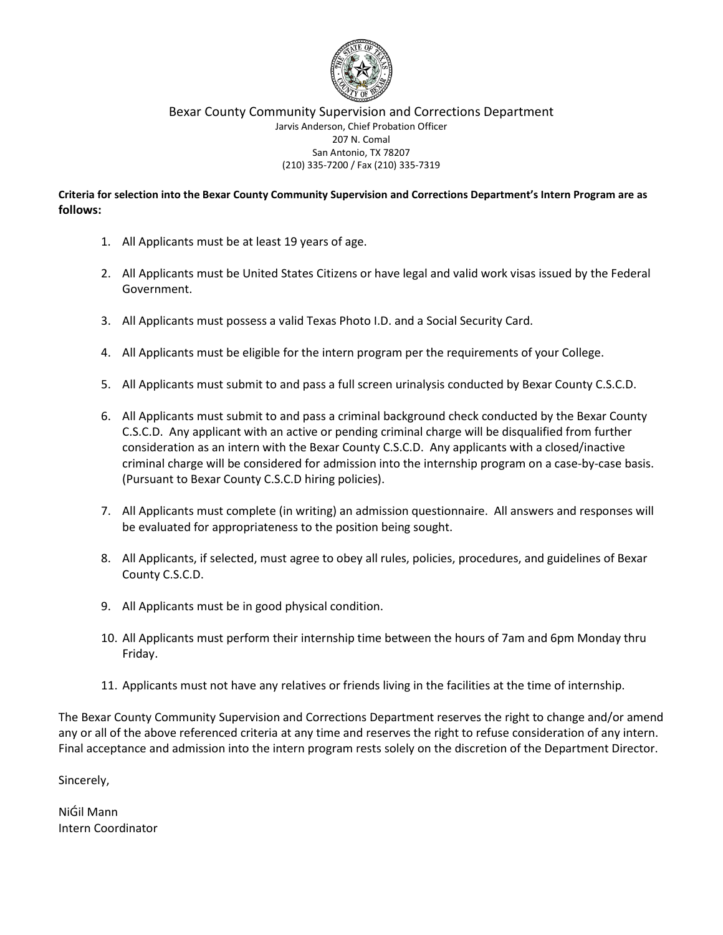

**Criteria for selection into the Bexar County Community Supervision and Corrections Department's Intern Program are as follows:**

- 1. All Applicants must be at least 19 years of age.
- 2. All Applicants must be United States Citizens or have legal and valid work visas issued by the Federal Government.
- 3. All Applicants must possess a valid Texas Photo I.D. and a Social Security Card.
- 4. All Applicants must be eligible for the intern program per the requirements of your College.
- 5. All Applicants must submit to and pass a full screen urinalysis conducted by Bexar County C.S.C.D.
- 6. All Applicants must submit to and pass a criminal background check conducted by the Bexar County C.S.C.D. Any applicant with an active or pending criminal charge will be disqualified from further consideration as an intern with the Bexar County C.S.C.D. Any applicants with a closed/inactive criminal charge will be considered for admission into the internship program on a case-by-case basis. (Pursuant to Bexar County C.S.C.D hiring policies).
- 7. All Applicants must complete (in writing) an admission questionnaire. All answers and responses will be evaluated for appropriateness to the position being sought.
- 8. All Applicants, if selected, must agree to obey all rules, policies, procedures, and guidelines of Bexar County C.S.C.D.
- 9. All Applicants must be in good physical condition.
- 10. All Applicants must perform their internship time between the hours of 7am and 6pm Monday thru Friday.
- 11. Applicants must not have any relatives or friends living in the facilities at the time of internship.

The Bexar County Community Supervision and Corrections Department reserves the right to change and/or amend any or all of the above referenced criteria at any time and reserves the right to refuse consideration of any intern. Final acceptance and admission into the intern program rests solely on the discretion of the Department Director.

Sincerely,

NiGil Mann Intern Coordinator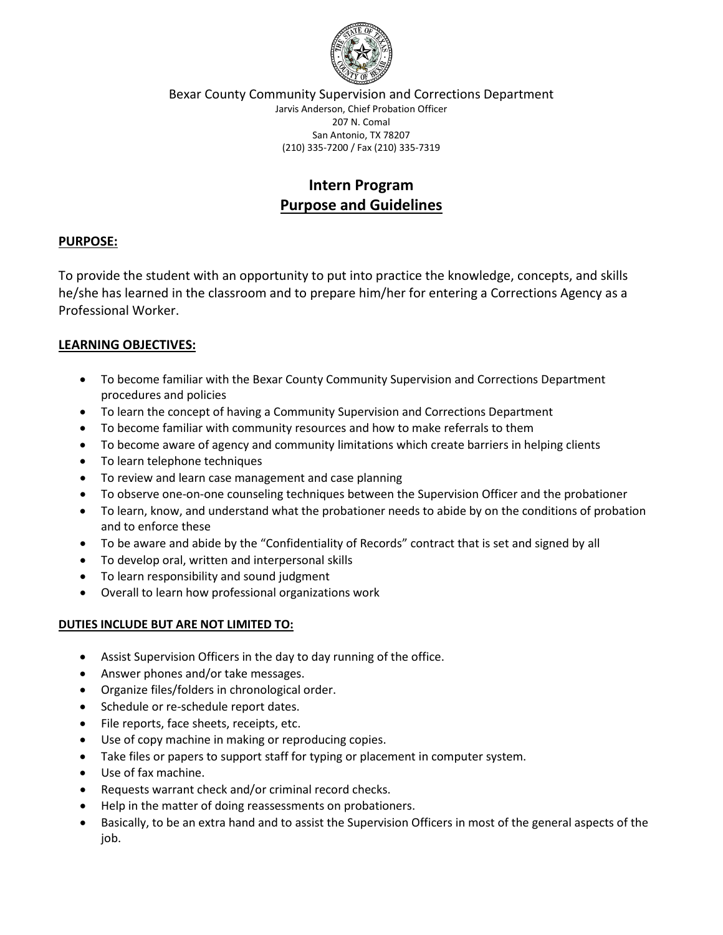

# **Intern Program Purpose and Guidelines**

## **PURPOSE:**

To provide the student with an opportunity to put into practice the knowledge, concepts, and skills he/she has learned in the classroom and to prepare him/her for entering a Corrections Agency as a Professional Worker.

## **LEARNING OBJECTIVES:**

- To become familiar with the Bexar County Community Supervision and Corrections Department procedures and policies
- To learn the concept of having a Community Supervision and Corrections Department
- To become familiar with community resources and how to make referrals to them
- To become aware of agency and community limitations which create barriers in helping clients
- To learn telephone techniques
- To review and learn case management and case planning
- To observe one-on-one counseling techniques between the Supervision Officer and the probationer
- To learn, know, and understand what the probationer needs to abide by on the conditions of probation and to enforce these
- To be aware and abide by the "Confidentiality of Records" contract that is set and signed by all
- To develop oral, written and interpersonal skills
- To learn responsibility and sound judgment
- Overall to learn how professional organizations work

#### **DUTIES INCLUDE BUT ARE NOT LIMITED TO:**

- Assist Supervision Officers in the day to day running of the office.
- Answer phones and/or take messages.
- Organize files/folders in chronological order.
- Schedule or re-schedule report dates.
- File reports, face sheets, receipts, etc.
- Use of copy machine in making or reproducing copies.
- Take files or papers to support staff for typing or placement in computer system.
- Use of fax machine.
- Requests warrant check and/or criminal record checks.
- Help in the matter of doing reassessments on probationers.
- Basically, to be an extra hand and to assist the Supervision Officers in most of the general aspects of the job.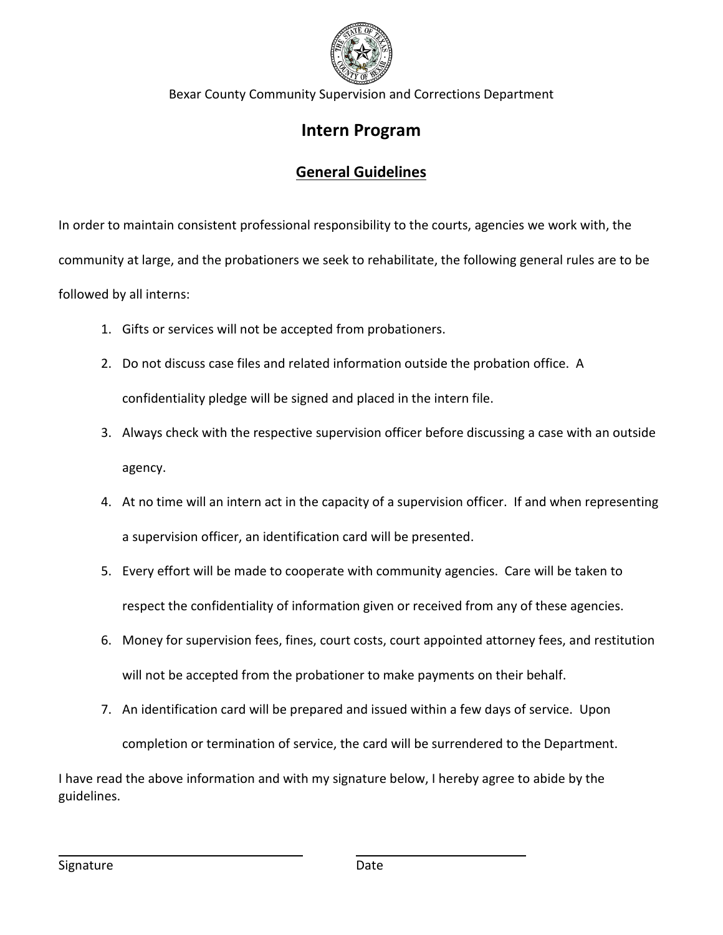

Bexar County Community Supervision and Corrections Department

# **Intern Program**

# **General Guidelines**

In order to maintain consistent professional responsibility to the courts, agencies we work with, the community at large, and the probationers we seek to rehabilitate, the following general rules are to be followed by all interns:

- 1. Gifts or services will not be accepted from probationers.
- 2. Do not discuss case files and related information outside the probation office. A confidentiality pledge will be signed and placed in the intern file.
- 3. Always check with the respective supervision officer before discussing a case with an outside agency.
- 4. At no time will an intern act in the capacity of a supervision officer. If and when representing a supervision officer, an identification card will be presented.
- 5. Every effort will be made to cooperate with community agencies. Care will be taken to respect the confidentiality of information given or received from any of these agencies.
- 6. Money for supervision fees, fines, court costs, court appointed attorney fees, and restitution will not be accepted from the probationer to make payments on their behalf.
- 7. An identification card will be prepared and issued within a few days of service. Upon

completion or termination of service, the card will be surrendered to the Department.

I have read the above information and with my signature below, I hereby agree to abide by the guidelines.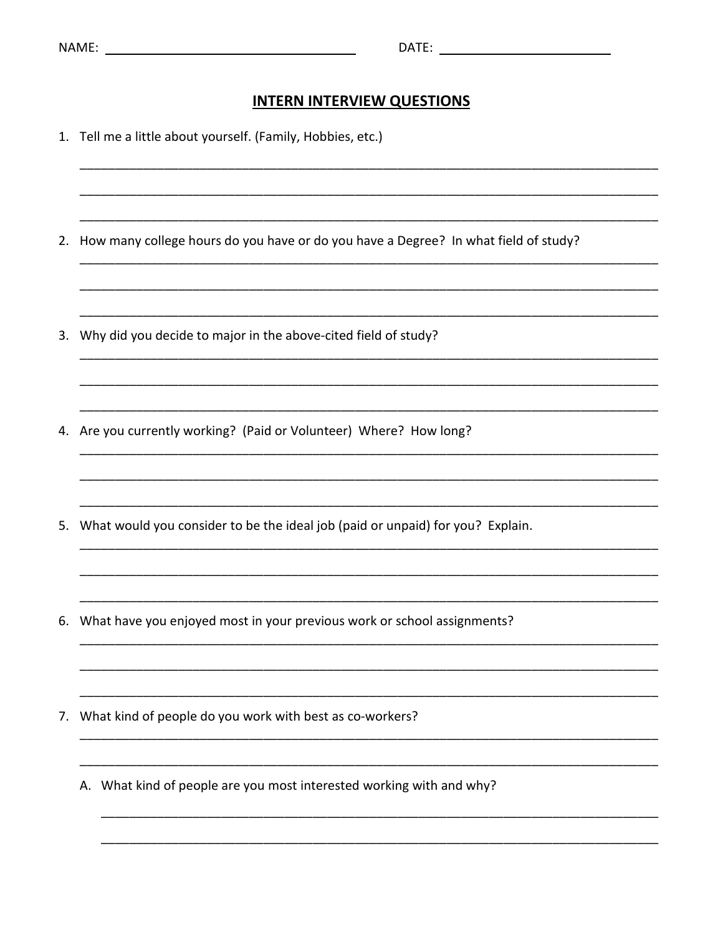## **INTERN INTERVIEW QUESTIONS**

1. Tell me a little about yourself. (Family, Hobbies, etc.) 2. How many college hours do you have or do you have a Degree? In what field of study? 3. Why did you decide to major in the above-cited field of study? 4. Are you currently working? (Paid or Volunteer) Where? How long? 5. What would you consider to be the ideal job (paid or unpaid) for you? Explain. 6. What have you enjoyed most in your previous work or school assignments? 7. What kind of people do you work with best as co-workers? A. What kind of people are you most interested working with and why?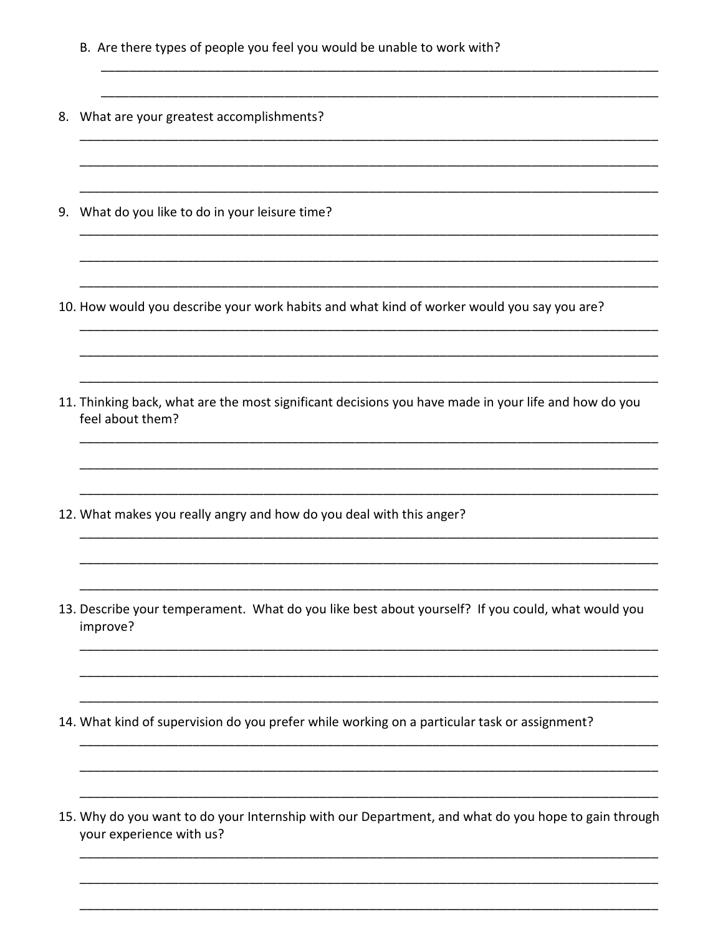- B. Are there types of people you feel you would be unable to work with?
- 8. What are your greatest accomplishments?
- 9. What do you like to do in your leisure time?
- 10. How would you describe your work habits and what kind of worker would you say you are?
- 11. Thinking back, what are the most significant decisions you have made in your life and how do you feel about them?
- 12. What makes you really angry and how do you deal with this anger?
- 13. Describe your temperament. What do you like best about yourself? If you could, what would you improve?
- 14. What kind of supervision do you prefer while working on a particular task or assignment?
- 15. Why do you want to do your Internship with our Department, and what do you hope to gain through your experience with us?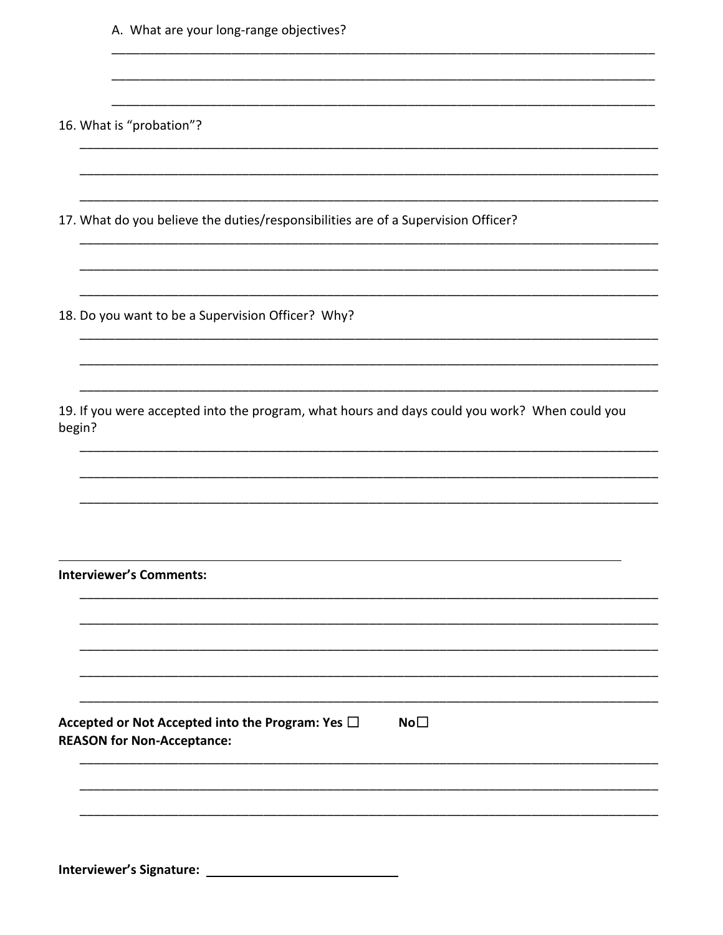| A. What are your long-range objectives?                                                                       |
|---------------------------------------------------------------------------------------------------------------|
|                                                                                                               |
| 16. What is "probation"?                                                                                      |
|                                                                                                               |
| 17. What do you believe the duties/responsibilities are of a Supervision Officer?                             |
|                                                                                                               |
| 18. Do you want to be a Supervision Officer? Why?                                                             |
|                                                                                                               |
| 19. If you were accepted into the program, what hours and days could you work? When could you<br>begin?       |
|                                                                                                               |
|                                                                                                               |
| <b>Interviewer's Comments:</b>                                                                                |
|                                                                                                               |
|                                                                                                               |
| No <sub>1</sub><br>Accepted or Not Accepted into the Program: Yes $\Box$<br><b>REASON for Non-Acceptance:</b> |
|                                                                                                               |
|                                                                                                               |
|                                                                                                               |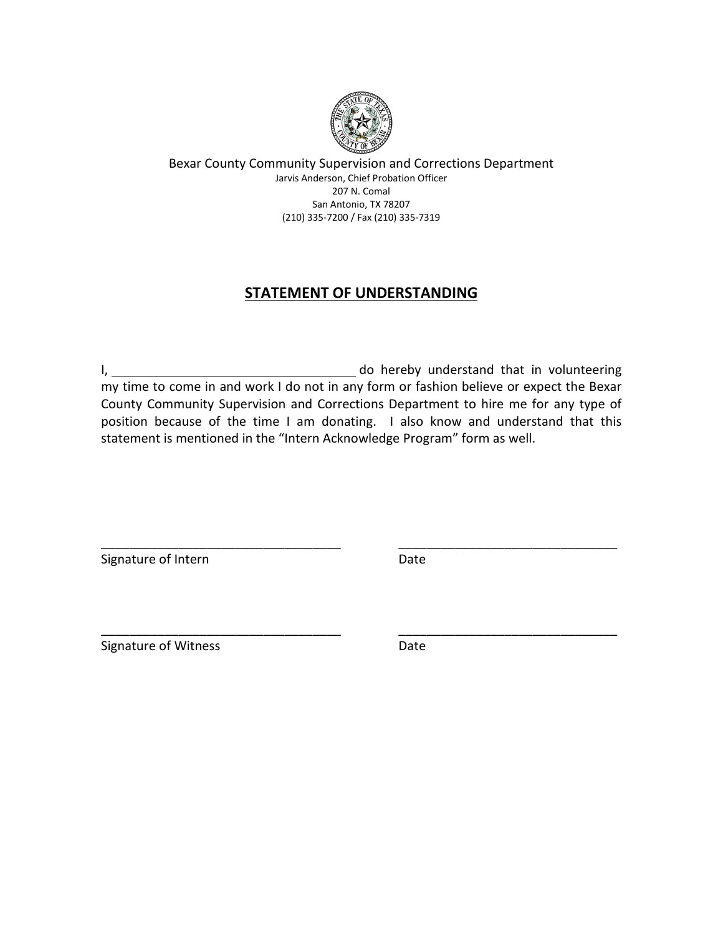

# **STATEMENT OF UNDERSTANDING**

I, 1. 2008 1. 2010 1. 2010 1. 2010 1. 2010 1. 2010 1. 2010 1. 2010 1. 2010 1. 2010 1. 2010 1. 2010 1. 2010 1. 2010 1. 2010 1. 2010 1. 2010 1. 2010 1. 2010 1. 2010 1. 2010 1. 2010 1. 2010 1. 2010 1. 2010 1. 2010 1. 2010 1. my time to come in and work I do not in any form or fashion believe or expect the Bexar County Community Supervision and Corrections Department to hire me for any type of position because of the time I am donating. I also know and understand that this statement is mentioned in the "Intern Acknowledge Program" form as well.

\_\_\_\_\_\_\_\_\_\_\_\_\_\_\_\_\_\_\_\_\_\_\_\_\_\_\_\_\_\_\_\_\_\_ \_\_\_\_\_\_\_\_\_\_\_\_\_\_\_\_\_\_\_\_\_\_\_\_\_\_\_\_\_\_\_

\_\_\_\_\_\_\_\_\_\_\_\_\_\_\_\_\_\_\_\_\_\_\_\_\_\_\_\_\_\_\_\_\_\_ \_\_\_\_\_\_\_\_\_\_\_\_\_\_\_\_\_\_\_\_\_\_\_\_\_\_\_\_\_\_\_

Signature of Intern **Date** 

Signature of Witness **Date**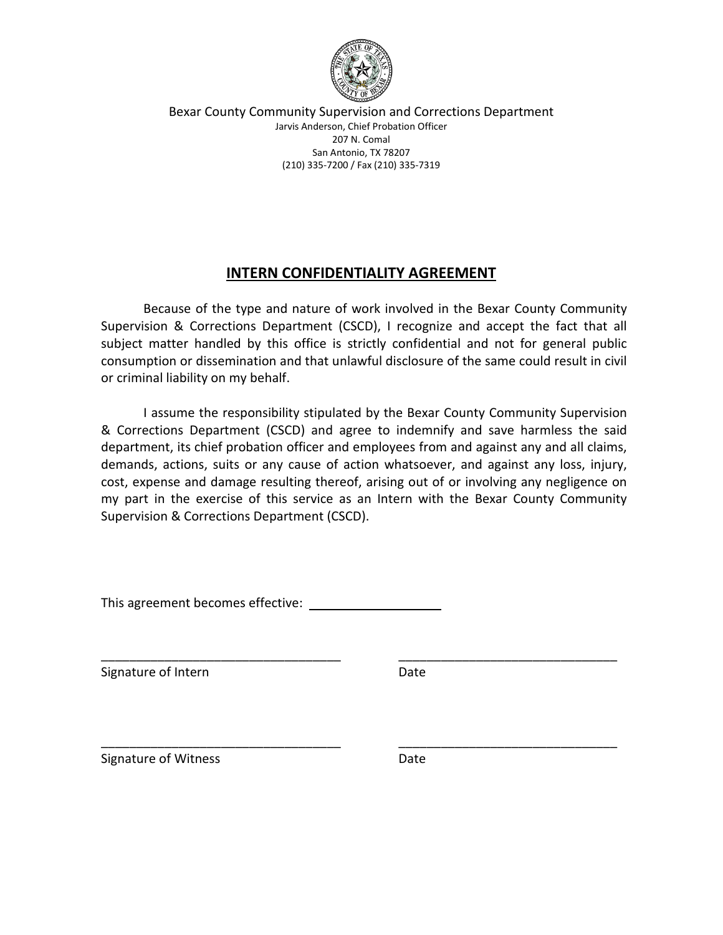

## **INTERN CONFIDENTIALITY AGREEMENT**

Because of the type and nature of work involved in the Bexar County Community Supervision & Corrections Department (CSCD), I recognize and accept the fact that all subject matter handled by this office is strictly confidential and not for general public consumption or dissemination and that unlawful disclosure of the same could result in civil or criminal liability on my behalf.

I assume the responsibility stipulated by the Bexar County Community Supervision & Corrections Department (CSCD) and agree to indemnify and save harmless the said department, its chief probation officer and employees from and against any and all claims, demands, actions, suits or any cause of action whatsoever, and against any loss, injury, cost, expense and damage resulting thereof, arising out of or involving any negligence on my part in the exercise of this service as an Intern with the Bexar County Community Supervision & Corrections Department (CSCD).

\_\_\_\_\_\_\_\_\_\_\_\_\_\_\_\_\_\_\_\_\_\_\_\_\_\_\_\_\_\_\_\_\_\_ \_\_\_\_\_\_\_\_\_\_\_\_\_\_\_\_\_\_\_\_\_\_\_\_\_\_\_\_\_\_\_

\_\_\_\_\_\_\_\_\_\_\_\_\_\_\_\_\_\_\_\_\_\_\_\_\_\_\_\_\_\_\_\_\_\_ \_\_\_\_\_\_\_\_\_\_\_\_\_\_\_\_\_\_\_\_\_\_\_\_\_\_\_\_\_\_\_

This agreement becomes effective:

Signature of Intern **Date** 

Signature of Witness **Date**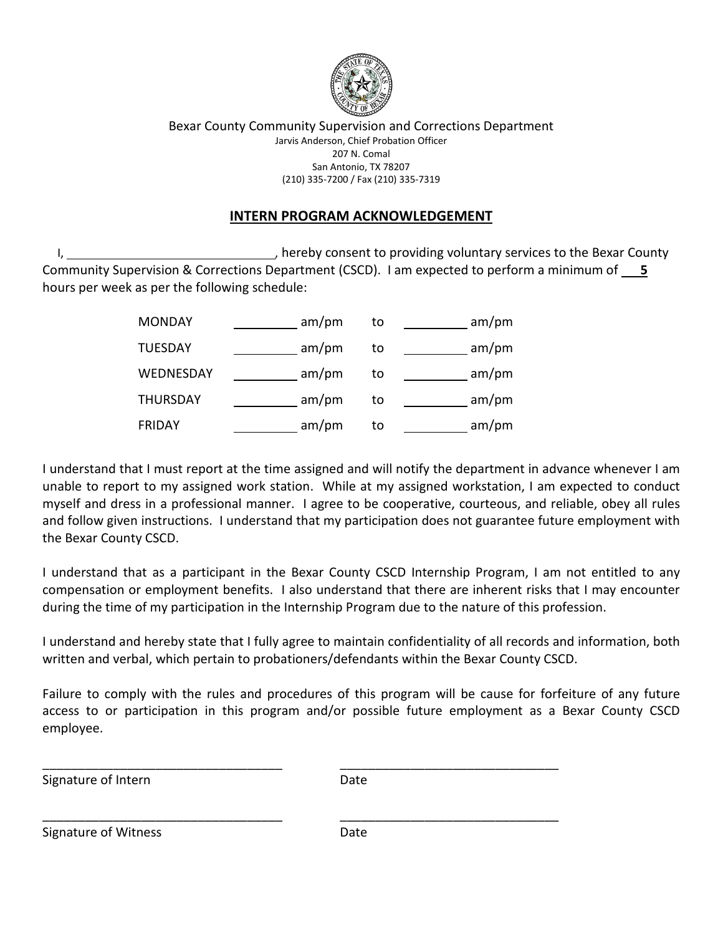

## **INTERN PROGRAM ACKNOWLEDGEMENT**

I, 1, 1. All the Bexar County of the Bexar County of the Bexar County services to the Bexar County Community Supervision & Corrections Department (CSCD). I am expected to perform a minimum of **5** hours per week as per the following schedule:

| <b>MONDAY</b>   | am/pm | to | am/m |
|-----------------|-------|----|------|
| <b>TUESDAY</b>  | am/pm | to | am/m |
| WEDNESDAY       | am/m  | to | am/m |
| <b>THURSDAY</b> | am/m  | to | am/m |
| <b>FRIDAY</b>   | am/m  | to | am/m |

I understand that I must report at the time assigned and will notify the department in advance whenever I am unable to report to my assigned work station. While at my assigned workstation, I am expected to conduct myself and dress in a professional manner. I agree to be cooperative, courteous, and reliable, obey all rules and follow given instructions. I understand that my participation does not guarantee future employment with the Bexar County CSCD.

I understand that as a participant in the Bexar County CSCD Internship Program, I am not entitled to any compensation or employment benefits. I also understand that there are inherent risks that I may encounter during the time of my participation in the Internship Program due to the nature of this profession.

I understand and hereby state that I fully agree to maintain confidentiality of all records and information, both written and verbal, which pertain to probationers/defendants within the Bexar County CSCD.

Failure to comply with the rules and procedures of this program will be cause for forfeiture of any future access to or participation in this program and/or possible future employment as a Bexar County CSCD employee.

Signature of Intern **Date** 

\_\_\_\_\_\_\_\_\_\_\_\_\_\_\_\_\_\_\_\_\_\_\_\_\_\_\_\_\_\_\_\_\_\_ \_\_\_\_\_\_\_\_\_\_\_\_\_\_\_\_\_\_\_\_\_\_\_\_\_\_\_\_\_\_\_

\_\_\_\_\_\_\_\_\_\_\_\_\_\_\_\_\_\_\_\_\_\_\_\_\_\_\_\_\_\_\_\_\_\_ \_\_\_\_\_\_\_\_\_\_\_\_\_\_\_\_\_\_\_\_\_\_\_\_\_\_\_\_\_\_\_

Signature of Witness **Date** Date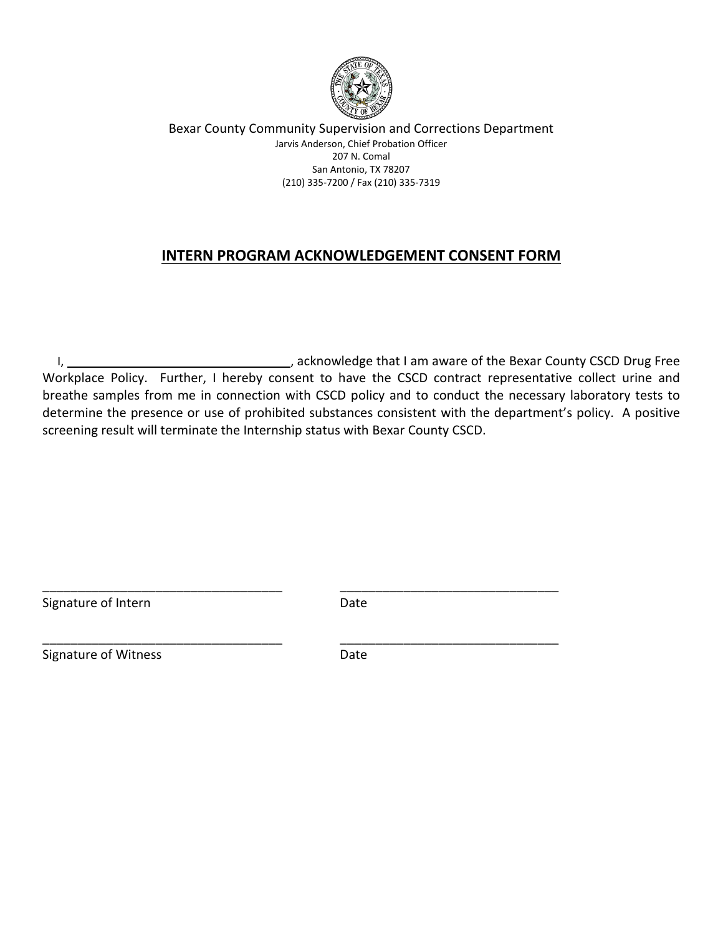

# **INTERN PROGRAM ACKNOWLEDGEMENT CONSENT FORM**

 I, , acknowledge that I am aware of the Bexar County CSCD Drug Free Workplace Policy. Further, I hereby consent to have the CSCD contract representative collect urine and breathe samples from me in connection with CSCD policy and to conduct the necessary laboratory tests to determine the presence or use of prohibited substances consistent with the department's policy. A positive screening result will terminate the Internship status with Bexar County CSCD.

Signature of Intern Date

\_\_\_\_\_\_\_\_\_\_\_\_\_\_\_\_\_\_\_\_\_\_\_\_\_\_\_\_\_\_\_\_\_\_ \_\_\_\_\_\_\_\_\_\_\_\_\_\_\_\_\_\_\_\_\_\_\_\_\_\_\_\_\_\_\_

\_\_\_\_\_\_\_\_\_\_\_\_\_\_\_\_\_\_\_\_\_\_\_\_\_\_\_\_\_\_\_\_\_\_ \_\_\_\_\_\_\_\_\_\_\_\_\_\_\_\_\_\_\_\_\_\_\_\_\_\_\_\_\_\_\_

Signature of Witness **Date**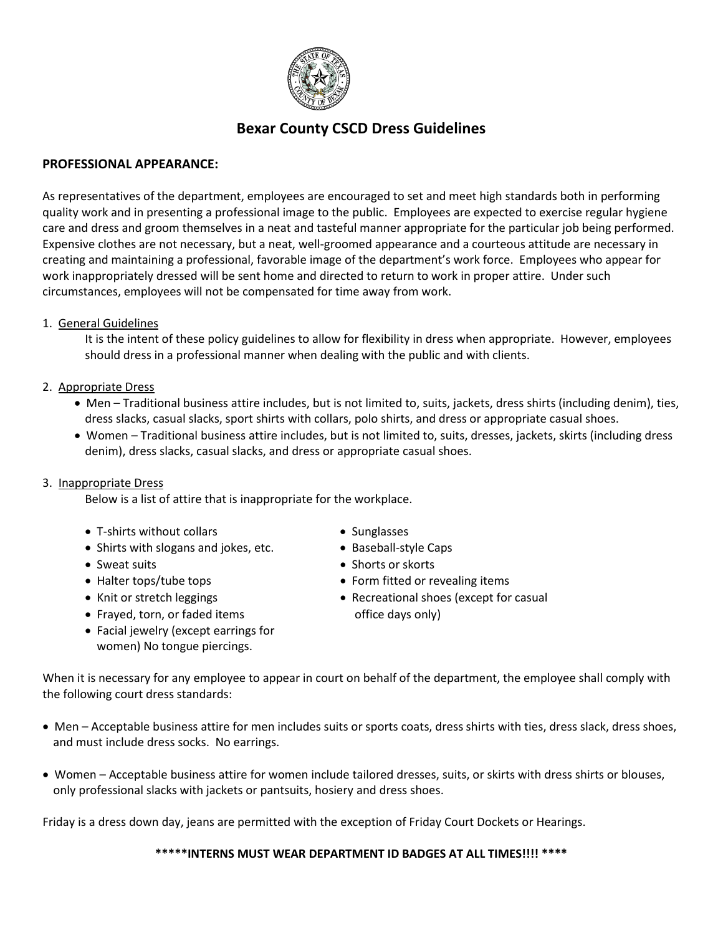

# **Bexar County CSCD Dress Guidelines**

### **PROFESSIONAL APPEARANCE:**

As representatives of the department, employees are encouraged to set and meet high standards both in performing quality work and in presenting a professional image to the public. Employees are expected to exercise regular hygiene care and dress and groom themselves in a neat and tasteful manner appropriate for the particular job being performed. Expensive clothes are not necessary, but a neat, well-groomed appearance and a courteous attitude are necessary in creating and maintaining a professional, favorable image of the department's work force. Employees who appear for work inappropriately dressed will be sent home and directed to return to work in proper attire. Under such circumstances, employees will not be compensated for time away from work.

#### 1. General Guidelines

It is the intent of these policy guidelines to allow for flexibility in dress when appropriate. However, employees should dress in a professional manner when dealing with the public and with clients.

#### 2. Appropriate Dress

- Men Traditional business attire includes, but is not limited to, suits, jackets, dress shirts (including denim), ties, dress slacks, casual slacks, sport shirts with collars, polo shirts, and dress or appropriate casual shoes.
- Women Traditional business attire includes, but is not limited to, suits, dresses, jackets, skirts (including dress denim), dress slacks, casual slacks, and dress or appropriate casual shoes.

#### 3. Inappropriate Dress

Below is a list of attire that is inappropriate for the workplace.

- T-shirts without collars Sunglasses
- Shirts with slogans and jokes, etc. Baseball-style Caps
- 
- 
- 
- Frayed, torn, or faded items office days only)
- Facial jewelry (except earrings for women) No tongue piercings.
- 
- 
- Sweat suits Shorts or skorts
- Halter tops/tube tops **•** Form fitted or revealing items
- Knit or stretch leggings  **Recreational shoes (except for casual**

When it is necessary for any employee to appear in court on behalf of the department, the employee shall comply with the following court dress standards:

- Men Acceptable business attire for men includes suits or sports coats, dress shirts with ties, dress slack, dress shoes, and must include dress socks. No earrings.
- Women Acceptable business attire for women include tailored dresses, suits, or skirts with dress shirts or blouses, only professional slacks with jackets or pantsuits, hosiery and dress shoes.

Friday is a dress down day, jeans are permitted with the exception of Friday Court Dockets or Hearings.

#### **\*\*\*\*\*INTERNS MUST WEAR DEPARTMENT ID BADGES AT ALL TIMES!!!! \*\*\*\***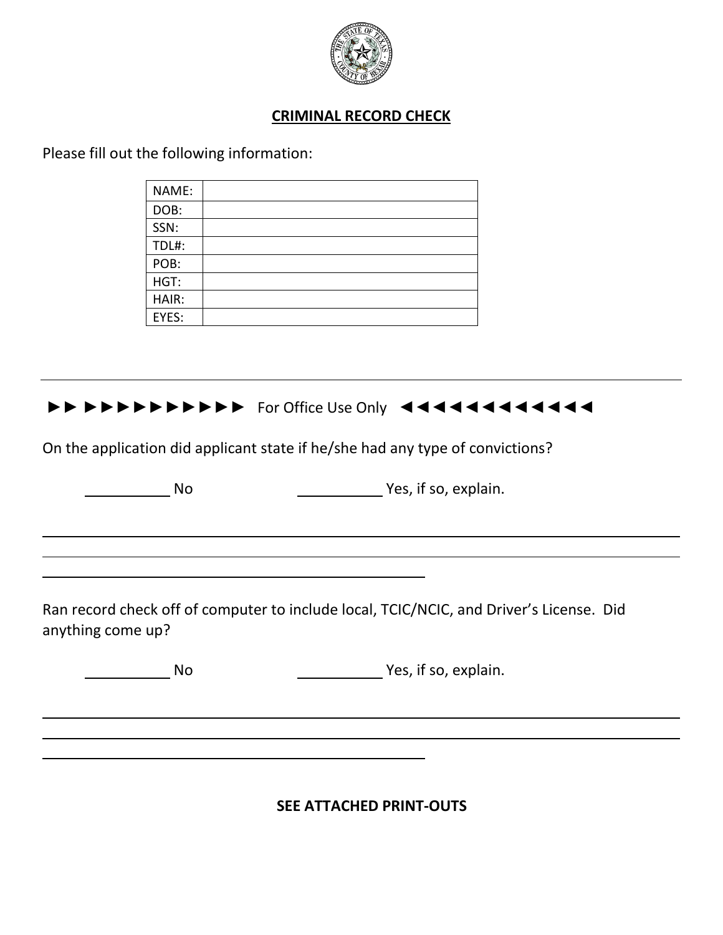

# **CRIMINAL RECORD CHECK**

Please fill out the following information:

| NAME: |  |
|-------|--|
| DOB:  |  |
| SSN:  |  |
| TDL#: |  |
| POB:  |  |
| HGT:  |  |
| HAIR: |  |
| EYES: |  |



On the application did applicant state if he/she had any type of convictions?

No No Yes, if so, explain.

Ran record check off of computer to include local, TCIC/NCIC, and Driver's License. Did anything come up?

No No Yes, if so, explain.

**SEE ATTACHED PRINT-OUTS**